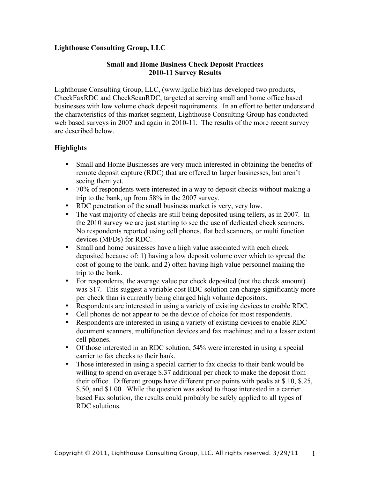## **Lighthouse Consulting Group, LLC**

#### **Small and Home Business Check Deposit Practices 2010-11 Survey Results**

Lighthouse Consulting Group, LLC, (www.lgcllc.biz) has developed two products, CheckFaxRDC and CheckScanRDC, targeted at serving small and home office based businesses with low volume check deposit requirements. In an effort to better understand the characteristics of this market segment, Lighthouse Consulting Group has conducted web based surveys in 2007 and again in 2010-11. The results of the more recent survey are described below.

# **Highlights**

- Small and Home Businesses are very much interested in obtaining the benefits of remote deposit capture (RDC) that are offered to larger businesses, but aren't seeing them yet.
- 70% of respondents were interested in a way to deposit checks without making a trip to the bank, up from 58% in the 2007 survey.
- RDC penetration of the small business market is very, very low.
- The vast majority of checks are still being deposited using tellers, as in 2007. In the 2010 survey we are just starting to see the use of dedicated check scanners. No respondents reported using cell phones, flat bed scanners, or multi function devices (MFDs) for RDC.
- Small and home businesses have a high value associated with each check deposited because of: 1) having a low deposit volume over which to spread the cost of going to the bank, and 2) often having high value personnel making the trip to the bank.
- For respondents, the average value per check deposited (not the check amount) was \$17. This suggest a variable cost RDC solution can charge significantly more per check than is currently being charged high volume depositors.
- Respondents are interested in using a variety of existing devices to enable RDC.
- Cell phones do not appear to be the device of choice for most respondents.
- Respondents are interested in using a variety of existing devices to enable RDC document scanners, multifunction devices and fax machines; and to a lesser extent cell phones.
- Of those interested in an RDC solution, 54% were interested in using a special carrier to fax checks to their bank.
- Those interested in using a special carrier to fax checks to their bank would be willing to spend on average \$.37 additional per check to make the deposit from their office. Different groups have different price points with peaks at \$.10, \$.25, \$.50, and \$1.00. While the question was asked to those interested in a carrier based Fax solution, the results could probably be safely applied to all types of RDC solutions.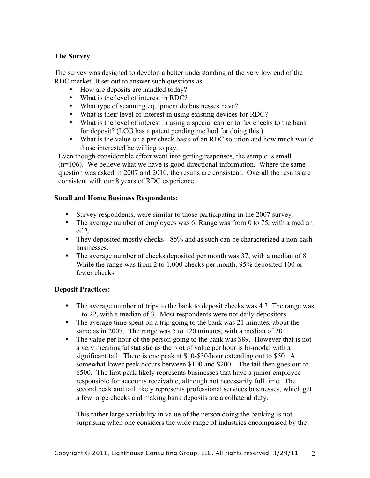## **The Survey**

The survey was designed to develop a better understanding of the very low end of the RDC market. It set out to answer such questions as:

- How are deposits are handled today?
- What is the level of interest in RDC?
- What type of scanning equipment do businesses have?
- What is their level of interest in using existing devices for RDC?
- What is the level of interest in using a special carrier to fax checks to the bank for deposit? (LCG has a patent pending method for doing this.)
- What is the value on a per check basis of an RDC solution and how much would those interested be willing to pay.

Even though considerable effort went into getting responses, the sample is small  $(n=106)$ . We believe what we have is good directional information. Where the same question was asked in 2007 and 2010, the results are consistent. Overall the results are consistent with our 8 years of RDC experience.

## **Small and Home Business Respondents:**

- Survey respondents, were similar to those participating in the 2007 survey.
- The average number of employees was 6. Range was from 0 to 75, with a median of  $2$
- They deposited mostly checks 85% and as such can be characterized a non-cash businesses.
- The average number of checks deposited per month was 37, with a median of 8. While the range was from 2 to 1,000 checks per month, 95% deposited 100 or fewer checks.

## **Deposit Practices:**

- The average number of trips to the bank to deposit checks was 4.3. The range was 1 to 22, with a median of 3. Most respondents were not daily depositors.
- The average time spent on a trip going to the bank was 21 minutes, about the same as in 2007. The range was 5 to 120 minutes, with a median of 20
- The value per hour of the person going to the bank was \$89. However that is not a very meaningful statistic as the plot of value per hour is bi-modal with a significant tail. There is one peak at \$10-\$30/hour extending out to \$50. A somewhat lower peak occurs between \$100 and \$200. The tail then goes out to \$500. The first peak likely represents businesses that have a junior employee responsible for accounts receivable, although not necessarily full time. The second peak and tail likely represents professional services businesses, which get a few large checks and making bank deposits are a collateral duty.

This rather large variability in value of the person doing the banking is not surprising when one considers the wide range of industries encompassed by the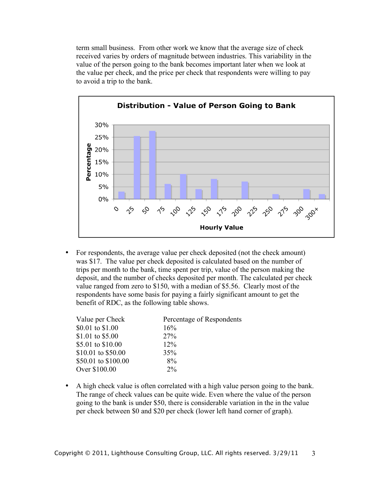term small business. From other work we know that the average size of check received varies by orders of magnitude between industries. This variability in the value of the person going to the bank becomes important later when we look at the value per check, and the price per check that respondents were willing to pay to avoid a trip to the bank.



• For respondents, the average value per check deposited (not the check amount) was \$17. The value per check deposited is calculated based on the number of trips per month to the bank, time spent per trip, value of the person making the deposit, and the number of checks deposited per month. The calculated per check value ranged from zero to \$150, with a median of \$5.56. Clearly most of the respondents have some basis for paying a fairly significant amount to get the benefit of RDC, as the following table shows.

| Value per Check     | Percentage of Respondents |
|---------------------|---------------------------|
| \$0.01 to \$1.00    | 16%                       |
| \$1.01 to \$5.00    | 27%                       |
| \$5.01 to \$10.00   | $12\%$                    |
| \$10.01 to \$50.00  | 35%                       |
| \$50.01 to \$100.00 | 8%                        |
| Over \$100.00       | $2\%$                     |

• A high check value is often correlated with a high value person going to the bank. The range of check values can be quite wide. Even where the value of the person going to the bank is under \$50, there is considerable variation in the in the value per check between \$0 and \$20 per check (lower left hand corner of graph).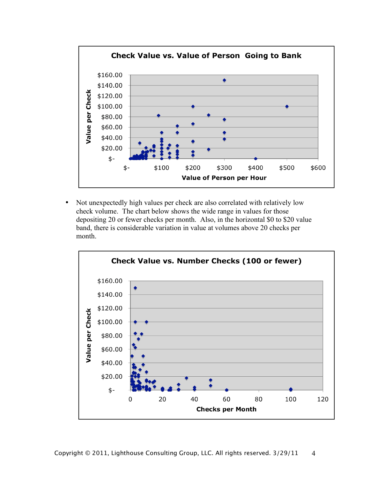

• Not unexpectedly high values per check are also correlated with relatively low check volume. The chart below shows the wide range in values for those depositing 20 or fewer checks per month. Also, in the horizontal \$0 to \$20 value band, there is considerable variation in value at volumes above 20 checks per month.

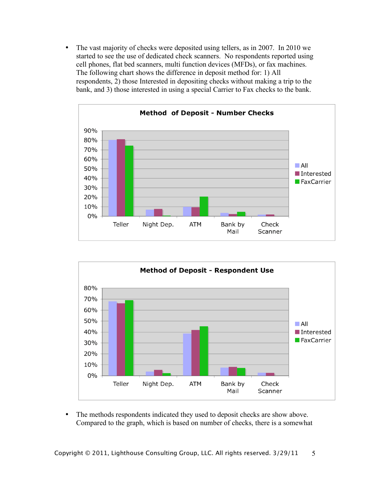• The vast majority of checks were deposited using tellers, as in 2007. In 2010 we started to see the use of dedicated check scanners. No respondents reported using cell phones, flat bed scanners, multi function devices (MFDs), or fax machines. The following chart shows the difference in deposit method for: 1) All respondents, 2) those Interested in depositing checks without making a trip to the bank, and 3) those interested in using a special Carrier to Fax checks to the bank.





• The methods respondents indicated they used to deposit checks are show above. Compared to the graph, which is based on number of checks, there is a somewhat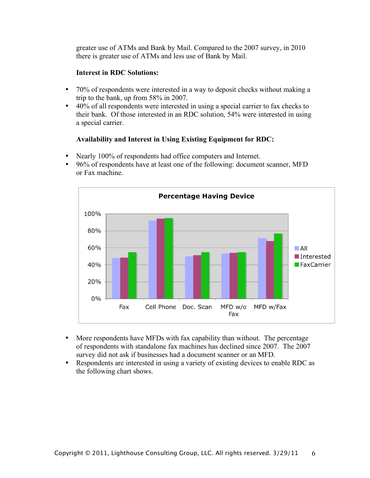greater use of ATMs and Bank by Mail. Compared to the 2007 survey, in 2010 there is greater use of ATMs and less use of Bank by Mail.

#### **Interest in RDC Solutions:**

- 70% of respondents were interested in a way to deposit checks without making a trip to the bank, up from 58% in 2007.
- 40% of all respondents were interested in using a special carrier to fax checks to their bank. Of those interested in an RDC solution, 54% were interested in using a special carrier.

## **Availability and Interest in Using Existing Equipment for RDC:**

- Nearly 100% of respondents had office computers and Internet.
- 96% of respondents have at least one of the following: document scanner, MFD or Fax machine.



- More respondents have MFDs with fax capability than without. The percentage of respondents with standalone fax machines has declined since 2007. The 2007 survey did not ask if businesses had a document scanner or an MFD.
- Respondents are interested in using a variety of existing devices to enable RDC as the following chart shows.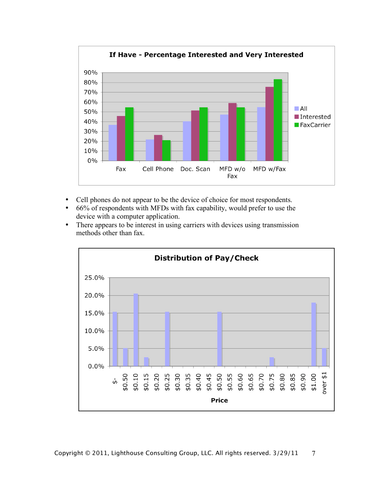

- Cell phones do not appear to be the device of choice for most respondents.
- 66% of respondents with MFDs with fax capability, would prefer to use the device with a computer application.
- There appears to be interest in using carriers with devices using transmission methods other than fax.